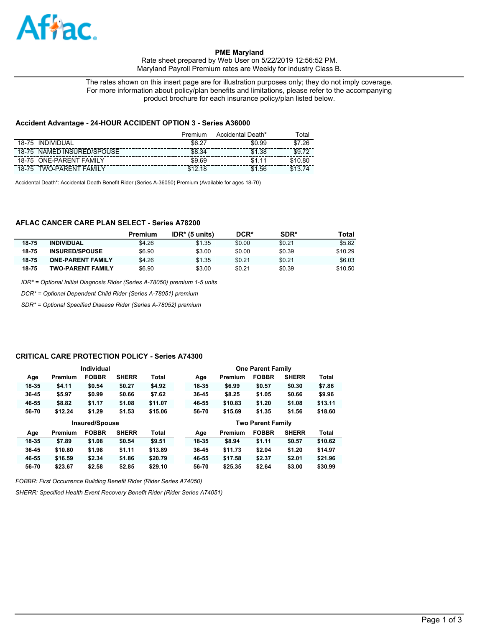

## **PME Maryland**

Rate sheet prepared by Web User on 5/22/2019 12:56:52 PM. Maryland Payroll Premium rates are Weekly for industry Class B.

The rates shown on this insert page are for illustration purposes only; they do not imply coverage. For more information about policy/plan benefits and limitations, please refer to the accompanying product brochure for each insurance policy/plan listed below.

### **Accident Advantage - 24-HOUR ACCIDENT OPTION 3 - Series A36000**

|                                         | Premium | Accidental Death* | ⊺ota⊩       |
|-----------------------------------------|---------|-------------------|-------------|
| <b>INDIVIDUAL</b><br>18-75              | \$6.27  | \$0.99            | .26<br>-\$7 |
| NAMED INSURED/SPOUSE<br>18-75           | \$8.34  | .38<br>\$1        | \$9         |
| <b>ONE-PARENT FAMILY</b><br>18-75       | \$9.69  | \$1               |             |
| TWO-PARFNT<br><b>FAMIL</b><br>$18 - 75$ |         | .56<br>\$1        |             |

Accidental Death\*: Accidental Death Benefit Rider (Series A-36050) Premium (Available for ages 18-70)

# **AFLAC CANCER CARE PLAN SELECT - Series A78200**

|       |                          | Premium | $IDR*$ (5 units) | DCR*   | SDR*   | Total   |
|-------|--------------------------|---------|------------------|--------|--------|---------|
| 18-75 | <b>INDIVIDUAL</b>        | \$4.26  | \$1.35           | \$0.00 | \$0.21 | \$5.82  |
| 18-75 | <b>INSURED/SPOUSE</b>    | \$6.90  | \$3.00           | \$0.00 | \$0.39 | \$10.29 |
| 18-75 | <b>ONE-PARENT FAMILY</b> | \$4.26  | \$1.35           | \$0.21 | \$0.21 | \$6.03  |
| 18-75 | <b>TWO-PARENT FAMILY</b> | \$6.90  | \$3.00           | \$0.21 | \$0.39 | \$10.50 |

*IDR\* = Optional Initial Diagnosis Rider (Series A-78050) premium 1-5 units*

*DCR\* = Optional Dependent Child Rider (Series A-78051) premium*

*SDR\* = Optional Specified Disease Rider (Series A-78052) premium*

#### **CRITICAL CARE PROTECTION POLICY - Series A74300**

|           |         | Individual            |              |              | <b>One Parent Family</b> |       |         |              |              |              |
|-----------|---------|-----------------------|--------------|--------------|--------------------------|-------|---------|--------------|--------------|--------------|
| Age       | Premium | <b>FOBBR</b>          | <b>SHERR</b> | Total        |                          | Age   | Premium | <b>FOBBR</b> | <b>SHERR</b> | <b>Total</b> |
| 18-35     | \$4.11  | \$0.54                | \$0.27       | \$4.92       |                          | 18-35 | \$6.99  | \$0.57       | \$0.30       | \$7.86       |
| $36 - 45$ | \$5.97  | \$0.99                | \$0.66       | \$7.62       |                          | 36-45 | \$8.25  | \$1.05       | \$0.66       | \$9.96       |
| 46-55     | \$8.82  | \$1.17                | \$1.08       | \$11.07      |                          | 46-55 | \$10.83 | \$1.20       | \$1.08       | \$13.11      |
| 56-70     | \$12.24 | \$1.29                | \$1.53       | \$15.06      |                          | 56-70 | \$15.69 | \$1.35       | \$1.56       | \$18.60      |
|           |         |                       |              |              | <b>Two Parent Family</b> |       |         |              |              |              |
|           |         | <b>Insured/Spouse</b> |              |              |                          |       |         |              |              |              |
| Age       | Premium | <b>FOBBR</b>          | <b>SHERR</b> | <b>Total</b> |                          | Age   | Premium | <b>FOBBR</b> | <b>SHERR</b> | <b>Total</b> |
| 18-35     | \$7.89  | \$1.08                | \$0.54       | \$9.51       |                          | 18-35 | \$8.94  | \$1.11       | \$0.57       | \$10.62      |
| $36 - 45$ | \$10.80 | \$1.98                | \$1.11       | \$13.89      |                          | 36-45 | \$11.73 | \$2.04       | \$1.20       | \$14.97      |
| 46-55     | \$16.59 | \$2.34                | \$1.86       | \$20.79      |                          | 46-55 | \$17.58 | \$2.37       | \$2.01       | \$21.96      |

*FOBBR: First Occurrence Building Benefit Rider (Rider Series A74050)*

*SHERR: Specified Health Event Recovery Benefit Rider (Rider Series A74051)*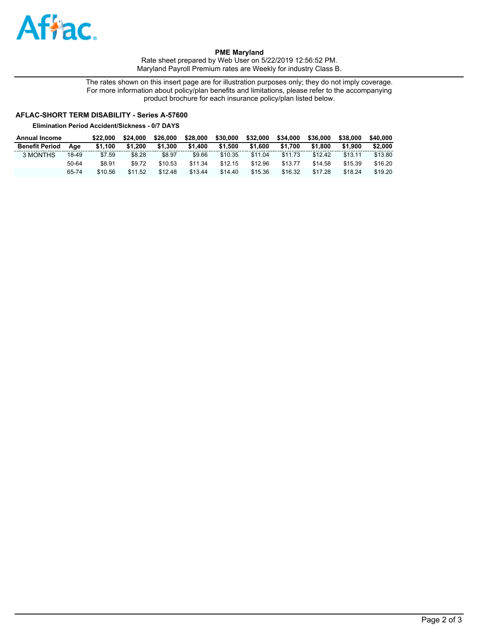

**PME Maryland**  Rate sheet prepared by Web User on 5/22/2019 12:56:52 PM. Maryland Payroll Premium rates are Weekly for industry Class B.

The rates shown on this insert page are for illustration purposes only; they do not imply coverage. For more information about policy/plan benefits and limitations, please refer to the accompanying product brochure for each insurance policy/plan listed below.

# **AFLAC-SHORT TERM DISABILITY - Series A-57600**

**Elimination Period Accident/Sickness - 0/7 DAYS**

| Annual Income         |       | \$22.000 | \$24.000 | \$26.000 | \$28,000 | \$30,000 | \$32,000 | \$34,000 | \$36,000 | \$38,000 | \$40.000 |
|-----------------------|-------|----------|----------|----------|----------|----------|----------|----------|----------|----------|----------|
| <b>Benefit Period</b> | Aae   | \$1.100  | \$1.200  | \$1.300  | \$1,400  | \$1.500  | \$1,600  | \$1.700  | \$1.800  | \$1.900  | \$2,000  |
| 3 MONTHS              | 18-49 | \$7.59   | \$8.28   | \$8.97   | \$9.66   | \$10.35  | \$11.04  | \$11.73  | \$12.42  | \$13.11  | \$13.80  |
|                       | 50-64 | \$8.91   | \$9.72   | \$10.53  | \$11.34  | \$12.15  | \$12.96  | \$13.77  | \$14.58  | \$15.39  | \$16.20  |
|                       | 65-74 | \$10.56  | \$11.52  | \$12.48  | \$13.44  | \$14.40  | \$15.36  | \$16.32  | \$17.28  | \$18.24  | \$19.20  |